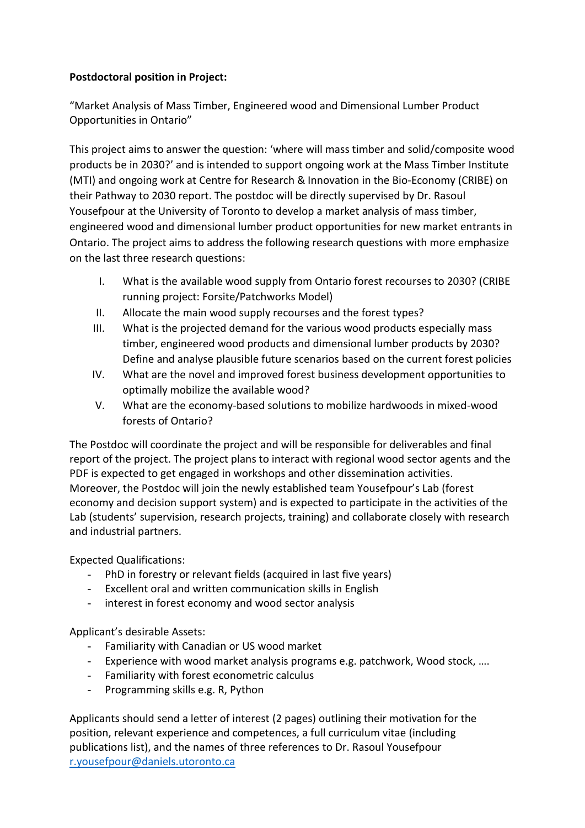## **Postdoctoral position in Project:**

"Market Analysis of Mass Timber, Engineered wood and Dimensional Lumber Product Opportunities in Ontario"

This project aims to answer the question: 'where will mass timber and solid/composite wood products be in 2030?' and is intended to support ongoing work at the Mass Timber Institute (MTI) and ongoing work at Centre for Research & Innovation in the Bio-Economy (CRIBE) on their Pathway to 2030 report. The postdoc will be directly supervised by Dr. Rasoul Yousefpour at the University of Toronto to develop a market analysis of mass timber, engineered wood and dimensional lumber product opportunities for new market entrants in Ontario. The project aims to address the following research questions with more emphasize on the last three research questions:

- I. What is the available wood supply from Ontario forest recourses to 2030? (CRIBE running project: Forsite/Patchworks Model)
- II. Allocate the main wood supply recourses and the forest types?
- III. What is the projected demand for the various wood products especially mass timber, engineered wood products and dimensional lumber products by 2030? Define and analyse plausible future scenarios based on the current forest policies
- IV. What are the novel and improved forest business development opportunities to optimally mobilize the available wood?
- V. What are the economy-based solutions to mobilize hardwoods in mixed-wood forests of Ontario?

The Postdoc will coordinate the project and will be responsible for deliverables and final report of the project. The project plans to interact with regional wood sector agents and the PDF is expected to get engaged in workshops and other dissemination activities. Moreover, the Postdoc will join the newly established team Yousefpour's Lab (forest economy and decision support system) and is expected to participate in the activities of the Lab (students' supervision, research projects, training) and collaborate closely with research and industrial partners.

Expected Qualifications:

- PhD in forestry or relevant fields (acquired in last five years)
- Excellent oral and written communication skills in English
- interest in forest economy and wood sector analysis

Applicant's desirable Assets:

- Familiarity with Canadian or US wood market
- Experience with wood market analysis programs e.g. patchwork, Wood stock, ….
- Familiarity with forest econometric calculus
- Programming skills e.g. R, Python

Applicants should send a letter of interest (2 pages) outlining their motivation for the position, relevant experience and competences, a full curriculum vitae (including publications list), and the names of three references to Dr. Rasoul Yousefpour [r.yousefpour@daniels.utoronto.ca](mailto:r.yousefpour@daniels.utoronto.ca)